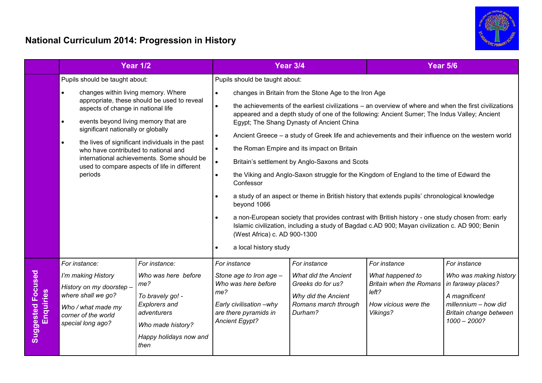## **National Curriculum 2014: Progression in History**



|                                       |                                                                                                                                                                                                                                                                                                                                                                                                                                                                                      | <b>Year 1/2</b>                                                                                                                                               |                                                                                                                                                           | <b>Year 3/4</b>                                                                                                                                                                                                                                                                                                                                                                                                                                                                                                                                                                                                                                                                                                                                                                                                                                                                                                                                                                         | <b>Year 5/6</b>                                                                                                 |                                                                                                                                                   |  |
|---------------------------------------|--------------------------------------------------------------------------------------------------------------------------------------------------------------------------------------------------------------------------------------------------------------------------------------------------------------------------------------------------------------------------------------------------------------------------------------------------------------------------------------|---------------------------------------------------------------------------------------------------------------------------------------------------------------|-----------------------------------------------------------------------------------------------------------------------------------------------------------|-----------------------------------------------------------------------------------------------------------------------------------------------------------------------------------------------------------------------------------------------------------------------------------------------------------------------------------------------------------------------------------------------------------------------------------------------------------------------------------------------------------------------------------------------------------------------------------------------------------------------------------------------------------------------------------------------------------------------------------------------------------------------------------------------------------------------------------------------------------------------------------------------------------------------------------------------------------------------------------------|-----------------------------------------------------------------------------------------------------------------|---------------------------------------------------------------------------------------------------------------------------------------------------|--|
|                                       | Pupils should be taught about:<br>changes within living memory. Where<br>$\bullet$<br>appropriate, these should be used to reveal<br>aspects of change in national life<br>events beyond living memory that are<br>$\bullet$<br>significant nationally or globally<br>the lives of significant individuals in the past<br>$\bullet$<br>who have contributed to national and<br>international achievements. Some should be<br>used to compare aspects of life in different<br>periods |                                                                                                                                                               | $\bullet$<br>$\bullet$<br>$\bullet$<br>$\bullet$<br>$\bullet$<br>Confessor<br>$\bullet$<br>beyond 1066<br>$\bullet$<br>a local history study<br>$\bullet$ | Pupils should be taught about:<br>changes in Britain from the Stone Age to the Iron Age<br>the achievements of the earliest civilizations – an overview of where and when the first civilizations<br>appeared and a depth study of one of the following: Ancient Sumer; The Indus Valley; Ancient<br>Egypt; The Shang Dynasty of Ancient China<br>Ancient Greece - a study of Greek life and achievements and their influence on the western world<br>the Roman Empire and its impact on Britain<br>Britain's settlement by Anglo-Saxons and Scots<br>the Viking and Anglo-Saxon struggle for the Kingdom of England to the time of Edward the<br>a study of an aspect or theme in British history that extends pupils' chronological knowledge<br>a non-European society that provides contrast with British history - one study chosen from: early<br>Islamic civilization, including a study of Bagdad c.AD 900; Mayan civilization c. AD 900; Benin<br>(West Africa) c. AD 900-1300 |                                                                                                                 |                                                                                                                                                   |  |
| <b>Suggested Focused</b><br>Enquiries | For instance:<br>I'm making History<br>History on my doorstep -<br>where shall we go?<br>Who / what made my<br>corner of the world<br>special long ago?                                                                                                                                                                                                                                                                                                                              | For instance:<br>Who was here before<br>me?<br>To bravely go! -<br><b>Explorers and</b><br>adventurers<br>Who made history?<br>Happy holidays now and<br>then | For instance<br>Stone age to Iron age -<br>Who was here before<br>me?<br>Early civilisation -why<br>are there pyramids in<br><b>Ancient Egypt?</b>        | For instance<br><b>What did the Ancient</b><br>Greeks do for us?<br>Why did the Ancient<br>Romans march through<br>Durham?                                                                                                                                                                                                                                                                                                                                                                                                                                                                                                                                                                                                                                                                                                                                                                                                                                                              | For instance<br>What happened to<br><b>Britain when the Romans</b><br>left?<br>How vicious were the<br>Vikings? | For instance<br>Who was making history<br>in faraway places?<br>A magnificent<br>millennium - how did<br>Britain change between<br>$1000 - 2000?$ |  |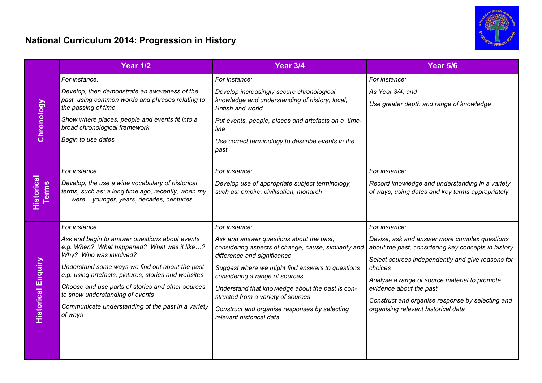## **National Curriculum 2014: Progression in History**



|                                   | <b>Year 1/2</b>                                                                                                                                                                                                                                                                                                                                                                                              | Year 3/4                                                                                                                                                                                                                                                                                                                                                                                                      | <b>Year 5/6</b>                                                                                                                                                                                                                                                                                                                                              |
|-----------------------------------|--------------------------------------------------------------------------------------------------------------------------------------------------------------------------------------------------------------------------------------------------------------------------------------------------------------------------------------------------------------------------------------------------------------|---------------------------------------------------------------------------------------------------------------------------------------------------------------------------------------------------------------------------------------------------------------------------------------------------------------------------------------------------------------------------------------------------------------|--------------------------------------------------------------------------------------------------------------------------------------------------------------------------------------------------------------------------------------------------------------------------------------------------------------------------------------------------------------|
| Chronology                        | For instance:<br>Develop, then demonstrate an awareness of the<br>past, using common words and phrases relating to<br>the passing of time<br>Show where places, people and events fit into a<br>broad chronological framework<br>Begin to use dates                                                                                                                                                          | For instance:<br>Develop increasingly secure chronological<br>knowledge and understanding of history, local,<br><b>British and world</b><br>Put events, people, places and artefacts on a time-<br>line<br>Use correct terminology to describe events in the<br>past                                                                                                                                          | For instance:<br>As Year 3/4, and<br>Use greater depth and range of knowledge                                                                                                                                                                                                                                                                                |
| <b>Historical</b><br><b>Terms</b> | For instance:<br>Develop, the use a wide vocabulary of historical<br>terms, such as: a long time ago, recently, when my<br>were younger, years, decades, centuries                                                                                                                                                                                                                                           | For instance:<br>Develop use of appropriate subject terminology,<br>such as: empire, civilisation, monarch                                                                                                                                                                                                                                                                                                    | For instance:<br>Record knowledge and understanding in a variety<br>of ways, using dates and key terms appropriately                                                                                                                                                                                                                                         |
| <b>Historical Enquiry</b>         | For instance:<br>Ask and begin to answer questions about events<br>e.g. When? What happened? What was it like?<br>Why? Who was involved?<br>Understand some ways we find out about the past<br>e.g. using artefacts, pictures, stories and websites<br>Choose and use parts of stories and other sources<br>to show understanding of events<br>Communicate understanding of the past in a variety<br>of ways | For instance:<br>Ask and answer questions about the past,<br>considering aspects of change, cause, similarity and<br>difference and significance<br>Suggest where we might find answers to questions<br>considering a range of sources<br>Understand that knowledge about the past is con-<br>structed from a variety of sources<br>Construct and organise responses by selecting<br>relevant historical data | For instance:<br>Devise, ask and answer more complex questions<br>about the past, considering key concepts in history<br>Select sources independently and give reasons for<br>choices<br>Analyse a range of source material to promote<br>evidence about the past<br>Construct and organise response by selecting and<br>organising relevant historical data |